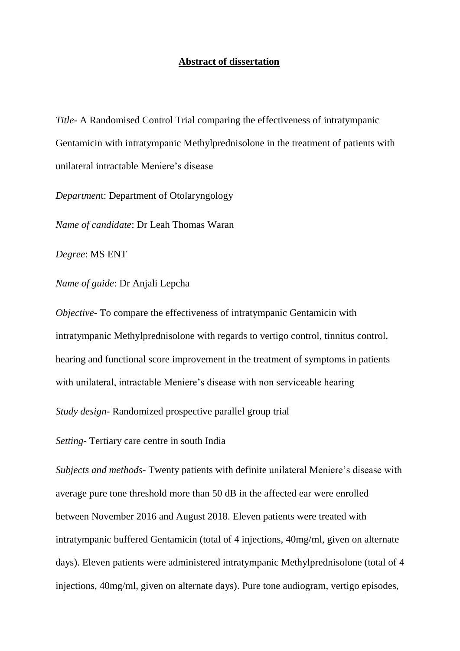## **Abstract of dissertation**

*Title*- A Randomised Control Trial comparing the effectiveness of intratympanic Gentamicin with intratympanic Methylprednisolone in the treatment of patients with unilateral intractable Meniere's disease

*Departmen*t: Department of Otolaryngology

*Name of candidate*: Dr Leah Thomas Waran

*Degree*: MS ENT

*Name of guide*: Dr Anjali Lepcha

*Objective-* To compare the effectiveness of intratympanic Gentamicin with intratympanic Methylprednisolone with regards to vertigo control, tinnitus control, hearing and functional score improvement in the treatment of symptoms in patients with unilateral, intractable Meniere's disease with non serviceable hearing

*Study design*- Randomized prospective parallel group trial

*Setting*- Tertiary care centre in south India

*Subjects and methods*- Twenty patients with definite unilateral Meniere's disease with average pure tone threshold more than 50 dB in the affected ear were enrolled between November 2016 and August 2018. Eleven patients were treated with intratympanic buffered Gentamicin (total of 4 injections, 40mg/ml, given on alternate days). Eleven patients were administered intratympanic Methylprednisolone (total of 4 injections, 40mg/ml, given on alternate days). Pure tone audiogram, vertigo episodes,